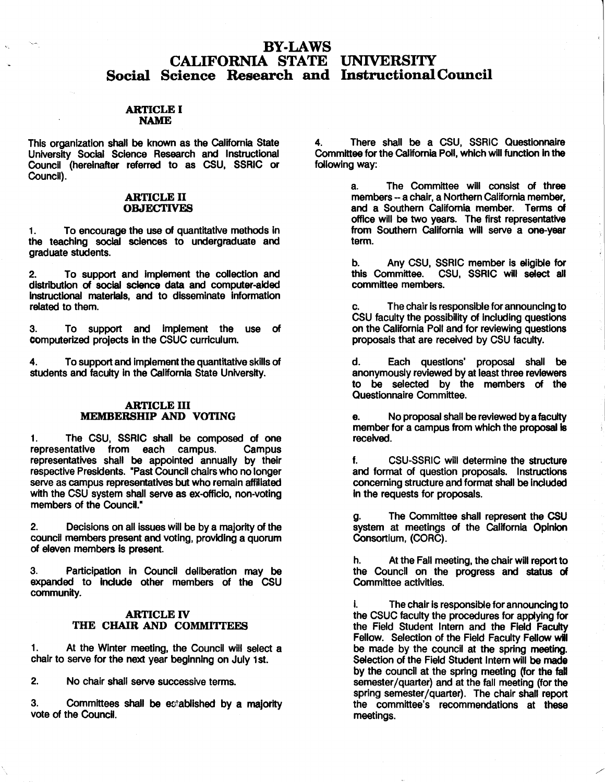# BY-LAWS CALIFORNIA STATE UNIVERSITY Social Science Research and InstructionalCouncil

## ARTICLE I **NAME**

This organization shall be known as the California State University Social Science Research and Instructional Council (hereinafter referred to as CSU, SSRIC or Council).

#### **ARTICLE** II **OBJECTIVES**

1. To encourage the use of quantitative methods In the teaching social sciences to undergraduate and graduate students.

2. To support and Implement the collection and distribution **of social** science data and computer-aided Instructional **materials, and** to disseminate Information **related** to them.

3. To support and Implement the use of computerized projects In the CSUC curriculum.

4. To support and implement the quantitative skills of students and faculty In the California State University.

## **ARTICLE** III **MEMBERSHIP AND VOTING**

1. The CSU, SSRIC shall be composed of one representative from each campus. Campus representatives shall be appointed annually by their respective Presidents. "Past Council chairs who no longer serve as campus representatives but who remain affiliated with the CSU system shall serve as ex-officio, non-voting members of the Council."

2. Decisions on all issues will be by a majority of the council members present and voting, providing a quorum of eleven members is present.

3. Participation in Council deliberation may be expanded to include other members of the CSU community.

# **ARTICLE** IV THE CHAIR AND COMMITTEES

1. At the Winter meeting, the Council will select a chair to serve for the next year beginning on July 1st.

2. No chair shall serve successive terms.

3. Committees shall be established by a majority vote of the Council.

4. There shall be a CSU, SSRIC Questionnaire Committee for the California Poll, which will function in the following way:

> a. The Committee will consist of three members -- a chair, a Northern California member, and a Southern California member. Terms of office will be two years. The first representative from Southern California wlll serve a one-year term.

> b. Any CSU, SSRIC member Is eligible for this Committee. CSU, SSRIC will select all committee members.

> c. The chair is responsible for announcing to CSU faculty the possibility of Including questions on the California Poll and for reviewing questions proposals that are received by CSU faculty.

> d. Each questions' proposal shall be anonymously reviewed by at least three **reviewers**  to be selected by the members of the Questionnaire Committee.

> No proposal shall be reviewed by a faculty member for a campus from which the proposal is **received.**

> f. CSU-SSRIC will determine the structure and format of question proposals. Instructions concerning structure and format shall be **included**  in the requests for proposals.

> The Committee shall represent the CSU system at meetings of the California Opinion Consortium, (CORC).

> h. At the Fall meeting, the chair will report to the Council on the progress and status of Committee activities.

> The chair is responsible for announcing to the CSUC faculty the procedures for applying for the Field Student Intern and the Field Faculty Fellow. Selection of the Field Faculty Fellow will be made by the council at the spring meeting. Selection of the Field Student Intern will **be made**  by the council at the spring meeting (for the fall semester/quarter) and at the fall meeting (for the spring semester/quarter). The chair shall report the committee's recommendations at these meetings.